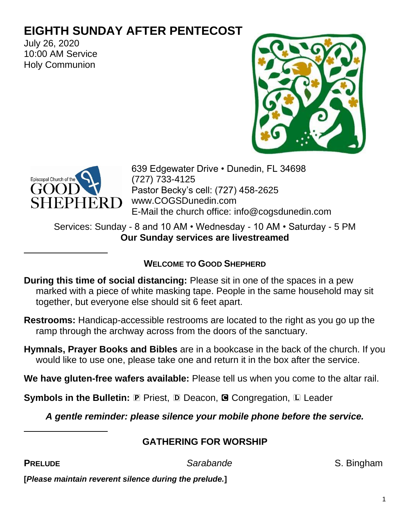# **EIGHTH SUNDAY AFTER PENTECOST**

July 26, 2020 10:00 AM Service Holy Communion





639 Edgewater Drive • Dunedin, FL 34698 (727) 733-4125 Pastor Becky's cell: (727) 458-2625 www.COGSDunedin.com E-Mail the church office: info@cogsdunedin.com

Services: Sunday - 8 and 10 AM • Wednesday - 10 AM • Saturday - 5 PM **Our Sunday services are livestreamed**

# **WELCOME TO GOOD SHEPHERD**

- **During this time of social distancing:** Please sit in one of the spaces in a pew marked with a piece of white masking tape. People in the same household may sit together, but everyone else should sit 6 feet apart.
- **Restrooms:** Handicap-accessible restrooms are located to the right as you go up the ramp through the archway across from the doors of the sanctuary.
- **Hymnals, Prayer Books and Bibles** are in a bookcase in the back of the church. If you would like to use one, please take one and return it in the box after the service.

**We have gluten-free wafers available:** Please tell us when you come to the altar rail.

**Symbols in the Bulletin: P** Priest, **D** Deacon, **G** Congregation, **L** Leader

*A gentle reminder: please silence your mobile phone before the service.*

# **GATHERING FOR WORSHIP**

**PRELUDE** Sarabande S. Bingham

**[***Please maintain reverent silence during the prelude.***]**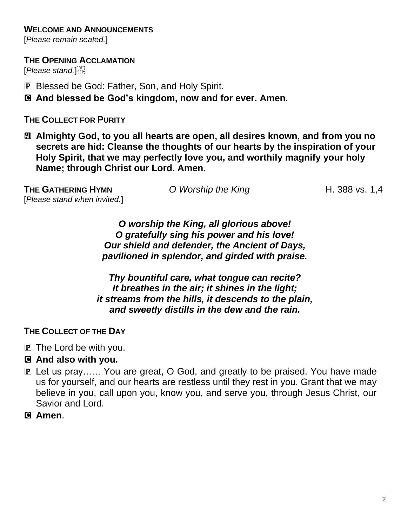#### **WELCOME AND ANNOUNCEMENTS**

[*Please remain seated.*]

#### **THE OPENING ACCLAMATION**

[*Please stand.*]

- P Blessed be God: Father, Son, and Holy Spirit.
- C **And blessed be God's kingdom, now and for ever. Amen.**

#### **THE COLLECT FOR PURITY**

a **Almighty God, to you all hearts are open, all desires known, and from you no secrets are hid: Cleanse the thoughts of our hearts by the inspiration of your Holy Spirit, that we may perfectly love you, and worthily magnify your holy Name; through Christ our Lord. Amen.**

**THE GATHERING HYMN** *O Worship the King* **H. 388 vs. 1,4** [*Please stand when invited.*]

*O worship the King, all glorious above! O gratefully sing his power and his love! Our shield and defender, the Ancient of Days, pavilioned in splendor, and girded with praise.* 

*Thy bountiful care, what tongue can recite? It breathes in the air; it shines in the light; it streams from the hills, it descends to the plain, and sweetly distills in the dew and the rain.*

#### **THE COLLECT OF THE DAY**

- **P** The Lord be with you.
- C **And also with you.**
- P Let us pray…… You are great, O God, and greatly to be praised. You have made us for yourself, and our hearts are restless until they rest in you. Grant that we may believe in you, call upon you, know you, and serve you, through Jesus Christ, our Savior and Lord.
- C **Amen**.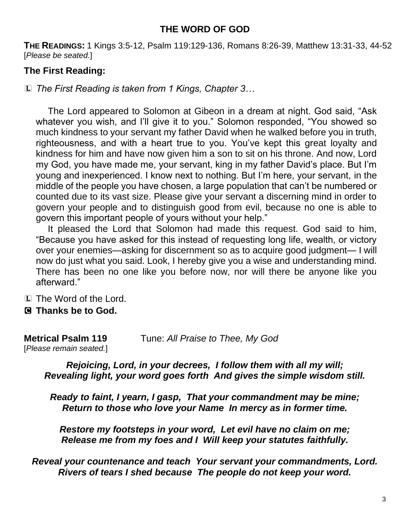### **THE WORD OF GOD**

**THE READINGS:** 1 Kings 3:5-12, Psalm 119:129-136, Romans 8:26-39, Matthew 13:31-33, 44-52 [*Please be seated.*]

# **The First Reading:**

L *The First Reading is taken from 1 Kings, Chapter 3…*

The Lord appeared to Solomon at Gibeon in a dream at night. God said, "Ask whatever you wish, and I'll give it to you." Solomon responded, "You showed so much kindness to your servant my father David when he walked before you in truth, righteousness, and with a heart true to you. You've kept this great loyalty and kindness for him and have now given him a son to sit on his throne. And now, Lord my God, you have made me, your servant, king in my father David's place. But I'm young and inexperienced. I know next to nothing. But I'm here, your servant, in the middle of the people you have chosen, a large population that can't be numbered or counted due to its vast size. Please give your servant a discerning mind in order to govern your people and to distinguish good from evil, because no one is able to govern this important people of yours without your help."

It pleased the Lord that Solomon had made this request. God said to him, "Because you have asked for this instead of requesting long life, wealth, or victory over your enemies—asking for discernment so as to acquire good judgment— I will now do just what you said. Look, I hereby give you a wise and understanding mind. There has been no one like you before now, nor will there be anyone like you afterward."

L The Word of the Lord.

C **Thanks be to God.**

**Metrical Psalm 119** Tune: *All Praise to Thee, My God*

[*Please remain seated.*]

*Rejoicing, Lord, in your decrees, I follow them with all my will; Revealing light, your word goes forth And gives the simple wisdom still.*

*Ready to faint, I yearn, I gasp, That your commandment may be mine; Return to those who love your Name In mercy as in former time.*

*Restore my footsteps in your word, Let evil have no claim on me; Release me from my foes and I Will keep your statutes faithfully.*

*Reveal your countenance and teach Your servant your commandments, Lord. Rivers of tears I shed because The people do not keep your word.*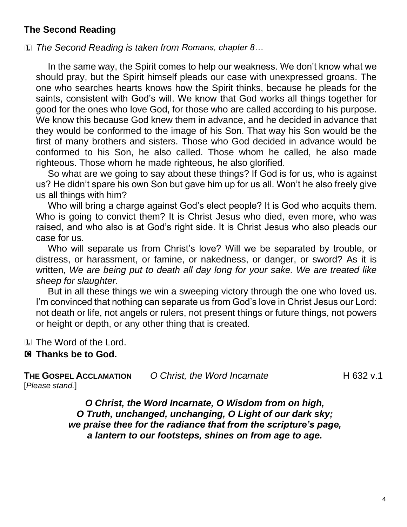### **The Second Reading**

L *The Second Reading is taken from Romans, chapter 8…*

In the same way, the Spirit comes to help our weakness. We don't know what we should pray, but the Spirit himself pleads our case with unexpressed groans. The one who searches hearts knows how the Spirit thinks, because he pleads for the saints, consistent with God's will. We know that God works all things together for good for the ones who love God, for those who are called according to his purpose. We know this because God knew them in advance, and he decided in advance that they would be conformed to the image of his Son. That way his Son would be the first of many brothers and sisters. Those who God decided in advance would be conformed to his Son, he also called. Those whom he called, he also made righteous. Those whom he made righteous, he also glorified.

So what are we going to say about these things? If God is for us, who is against us? He didn't spare his own Son but gave him up for us all. Won't he also freely give us all things with him?

Who will bring a charge against God's elect people? It is God who acquits them. Who is going to convict them? It is Christ Jesus who died, even more, who was raised, and who also is at God's right side. It is Christ Jesus who also pleads our case for us.

Who will separate us from Christ's love? Will we be separated by trouble, or distress, or harassment, or famine, or nakedness, or danger, or sword? As it is written, *We are being put to death all day long for your sake. We are treated like sheep for slaughter.*

But in all these things we win a sweeping victory through the one who loved us. I'm convinced that nothing can separate us from God's love in Christ Jesus our Lord: not death or life, not angels or rulers, not present things or future things, not powers or height or depth, or any other thing that is created.

L The Word of the Lord.

#### C **Thanks be to God.**

**THE GOSPEL ACCLAMATION** *O Christ, the Word Incarnate* **H** 632 v.1 [*Please stand.*]

> *O Christ, the Word Incarnate, O Wisdom from on high, O Truth, unchanged, unchanging, O Light of our dark sky; we praise thee for the radiance that from the scripture's page, a lantern to our footsteps, shines on from age to age.*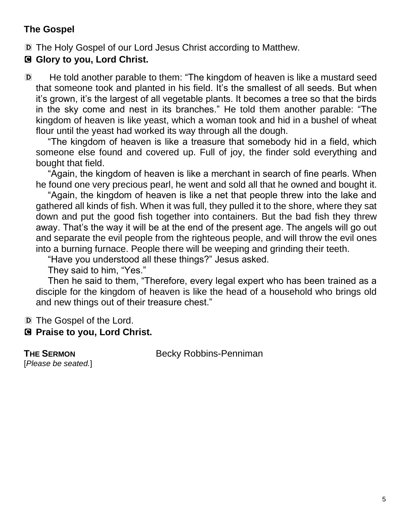# **The Gospel**

D The Holy Gospel of our Lord Jesus Christ according to Matthew.

C **Glory to you, Lord Christ.** 

D He told another parable to them: "The kingdom of heaven is like a mustard seed that someone took and planted in his field. It's the smallest of all seeds. But when it's grown, it's the largest of all vegetable plants. It becomes a tree so that the birds in the sky come and nest in its branches." He told them another parable: "The kingdom of heaven is like yeast, which a woman took and hid in a bushel of wheat flour until the yeast had worked its way through all the dough.

"The kingdom of heaven is like a treasure that somebody hid in a field, which someone else found and covered up. Full of joy, the finder sold everything and bought that field.

"Again, the kingdom of heaven is like a merchant in search of fine pearls. When he found one very precious pearl, he went and sold all that he owned and bought it.

"Again, the kingdom of heaven is like a net that people threw into the lake and gathered all kinds of fish. When it was full, they pulled it to the shore, where they sat down and put the good fish together into containers. But the bad fish they threw away. That's the way it will be at the end of the present age. The angels will go out and separate the evil people from the righteous people, and will throw the evil ones into a burning furnace. People there will be weeping and grinding their teeth.

"Have you understood all these things?" Jesus asked.

They said to him, "Yes."

Then he said to them, "Therefore, every legal expert who has been trained as a disciple for the kingdom of heaven is like the head of a household who brings old and new things out of their treasure chest."

D The Gospel of the Lord.

# C **Praise to you, Lord Christ.**

[*Please be seated.*]

**THE SERMON** Becky Robbins-Penniman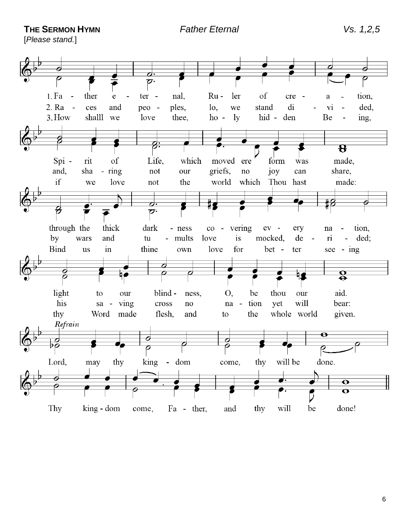**THE SERMON HYMN** *Father Eternal Vs. 1,2,5*

[*Please stand.*]

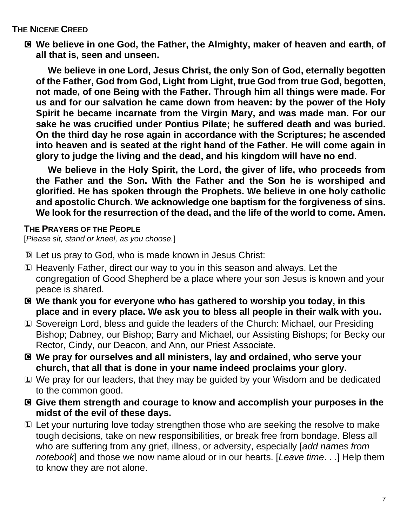#### **THE NICENE CREED**

C **We believe in one God, the Father, the Almighty, maker of heaven and earth, of all that is, seen and unseen.** 

**We believe in one Lord, Jesus Christ, the only Son of God, eternally begotten of the Father, God from God, Light from Light, true God from true God, begotten, not made, of one Being with the Father. Through him all things were made. For us and for our salvation he came down from heaven: by the power of the Holy Spirit he became incarnate from the Virgin Mary, and was made man. For our sake he was crucified under Pontius Pilate; he suffered death and was buried. On the third day he rose again in accordance with the Scriptures; he ascended into heaven and is seated at the right hand of the Father. He will come again in glory to judge the living and the dead, and his kingdom will have no end.**

**We believe in the Holy Spirit, the Lord, the giver of life, who proceeds from the Father and the Son. With the Father and the Son he is worshiped and glorified. He has spoken through the Prophets. We believe in one holy catholic and apostolic Church. We acknowledge one baptism for the forgiveness of sins. We look for the resurrection of the dead, and the life of the world to come. Amen.**

#### **THE PRAYERS OF THE PEOPLE**

[*Please sit, stand or kneel, as you choose.*]

- D Let us pray to God, who is made known in Jesus Christ:
- L Heavenly Father, direct our way to you in this season and always. Let the congregation of Good Shepherd be a place where your son Jesus is known and your peace is shared.
- C **We thank you for everyone who has gathered to worship you today, in this place and in every place. We ask you to bless all people in their walk with you.**
- L Sovereign Lord, bless and guide the leaders of the Church: Michael, our Presiding Bishop; Dabney, our Bishop; Barry and Michael, our Assisting Bishops; for Becky our Rector, Cindy, our Deacon, and Ann, our Priest Associate.
- C **We pray for ourselves and all ministers, lay and ordained, who serve your church, that all that is done in your name indeed proclaims your glory.**
- L We pray for our leaders, that they may be guided by your Wisdom and be dedicated to the common good.
- C **Give them strength and courage to know and accomplish your purposes in the midst of the evil of these days.**
- L Let your nurturing love today strengthen those who are seeking the resolve to make tough decisions, take on new responsibilities, or break free from bondage. Bless all who are suffering from any grief, illness, or adversity, especially [*add names from notebook*] and those we now name aloud or in our hearts. [*Leave time*. . .] Help them to know they are not alone.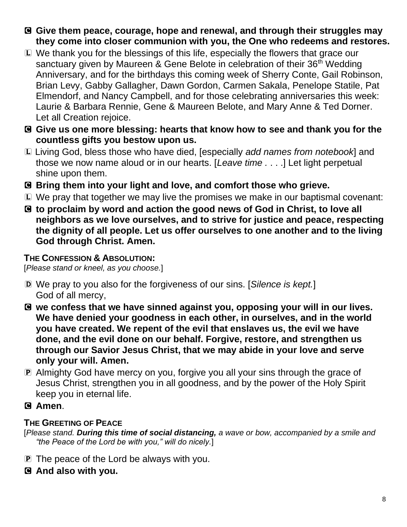- C **Give them peace, courage, hope and renewal, and through their struggles may they come into closer communion with you, the One who redeems and restores.**
- L We thank you for the blessings of this life, especially the flowers that grace our sanctuary given by Maureen & Gene Belote in celebration of their 36<sup>th</sup> Wedding Anniversary, and for the birthdays this coming week of Sherry Conte, Gail Robinson, Brian Levy, Gabby Gallagher, Dawn Gordon, Carmen Sakala, Penelope Statile, Pat Elmendorf, and Nancy Campbell, and for those celebrating anniversaries this week: Laurie & Barbara Rennie, Gene & Maureen Belote, and Mary Anne & Ted Dorner. Let all Creation rejoice.
- C **Give us one more blessing: hearts that know how to see and thank you for the countless gifts you bestow upon us.**
- L Living God, bless those who have died, [especially *add names from notebook*] and those we now name aloud or in our hearts. [*Leave time .* . . .] Let light perpetual shine upon them.
- C **Bring them into your light and love, and comfort those who grieve.**
- L We pray that together we may live the promises we make in our baptismal covenant:
- C **to proclaim by word and action the good news of God in Christ, to love all neighbors as we love ourselves, and to strive for justice and peace, respecting the dignity of all people. Let us offer ourselves to one another and to the living God through Christ. Amen.**

#### **THE CONFESSION & ABSOLUTION:**

[*Please stand or kneel, as you choose.*]

- D We pray to you also for the forgiveness of our sins. [*Silence is kept.*] God of all mercy,
- C **we confess that we have sinned against you, opposing your will in our lives. We have denied your goodness in each other, in ourselves, and in the world you have created. We repent of the evil that enslaves us, the evil we have done, and the evil done on our behalf. Forgive, restore, and strengthen us through our Savior Jesus Christ, that we may abide in your love and serve only your will. Amen.**
- P Almighty God have mercy on you, forgive you all your sins through the grace of Jesus Christ, strengthen you in all goodness, and by the power of the Holy Spirit keep you in eternal life.
- C **Amen**.

#### **THE GREETING OF PEACE**

[*Please stand. During this time of social distancing, a wave or bow, accompanied by a smile and "the Peace of the Lord be with you," will do nicely.*]

- **P** The peace of the Lord be always with you.
- C **And also with you.**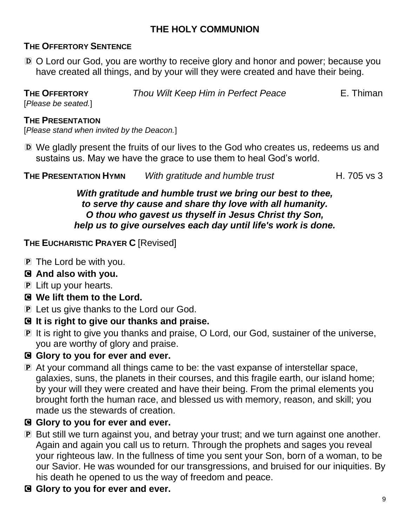# **THE HOLY COMMUNION**

# **THE OFFERTORY SENTENCE**

D O Lord our God, you are worthy to receive glory and honor and power; because you have created all things, and by your will they were created and have their being.

**THE OFFERTORY** *Thou Wilt Keep Him in Perfect Peace* E. Thiman

[*Please be seated.*]

#### **THE PRESENTATION**

[*Please stand when invited by the Deacon.*]

D We gladly present the fruits of our lives to the God who creates us, redeems us and sustains us. May we have the grace to use them to heal God's world.

**THE PRESENTATION HYMN** *With gratitude and humble trust* **H. 705 vs 3** 

#### *With gratitude and humble trust we bring our best to thee, to serve thy cause and share thy love with all humanity. O thou who gavest us thyself in Jesus Christ thy Son, help us to give ourselves each day until life's work is done.*

# **THE EUCHARISTIC PRAYER C** [Revised]

- P The Lord be with you.
- C **And also with you.**
- P Lift up your hearts.
- C **We lift them to the Lord.**
- **P** Let us give thanks to the Lord our God.
- C **It is right to give our thanks and praise.**
- P It is right to give you thanks and praise, O Lord, our God, sustainer of the universe, you are worthy of glory and praise.
- C **Glory to you for ever and ever.**
- P At your command all things came to be: the vast expanse of interstellar space, galaxies, suns, the planets in their courses, and this fragile earth, our island home; by your will they were created and have their being. From the primal elements you brought forth the human race, and blessed us with memory, reason, and skill; you made us the stewards of creation.

# C **Glory to you for ever and ever.**

- P But still we turn against you, and betray your trust; and we turn against one another. Again and again you call us to return. Through the prophets and sages you reveal your righteous law. In the fullness of time you sent your Son, born of a woman, to be our Savior. He was wounded for our transgressions, and bruised for our iniquities. By his death he opened to us the way of freedom and peace.
- C **Glory to you for ever and ever.**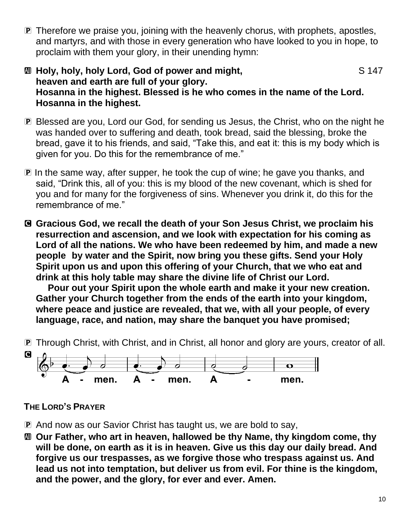- P Therefore we praise you, joining with the heavenly chorus, with prophets, apostles, and martyrs, and with those in every generation who have looked to you in hope, to proclaim with them your glory, in their unending hymn:
- **a** Holy, holy, holy Lord, God of power and might, **S** 147 **heaven and earth are full of your glory. Hosanna in the highest. Blessed is he who comes in the name of the Lord. Hosanna in the highest.**
- P Blessed are you, Lord our God, for sending us Jesus, the Christ, who on the night he was handed over to suffering and death, took bread, said the blessing, broke the bread, gave it to his friends, and said, "Take this, and eat it: this is my body which is given for you. Do this for the remembrance of me."
- P In the same way, after supper, he took the cup of wine; he gave you thanks, and said, "Drink this, all of you: this is my blood of the new covenant, which is shed for you and for many for the forgiveness of sins. Whenever you drink it, do this for the remembrance of me."

C **Gracious God, we recall the death of your Son Jesus Christ, we proclaim his resurrection and ascension, and we look with expectation for his coming as Lord of all the nations. We who have been redeemed by him, and made a new people by water and the Spirit, now bring you these gifts. Send your Holy Spirit upon us and upon this offering of your Church, that we who eat and drink at this holy table may share the divine life of Christ our Lord.** 

**Pour out your Spirit upon the whole earth and make it your new creation. Gather your Church together from the ends of the earth into your kingdom, where peace and justice are revealed, that we, with all your people, of every language, race, and nation, may share the banquet you have promised;**

P Through Christ, with Christ, and in Christ, all honor and glory are yours, creator of all.



#### **THE LORD'S PRAYER**

- P And now as our Savior Christ has taught us, we are bold to say,
- a **Our Father, who art in heaven, hallowed be thy Name, thy kingdom come, thy will be done, on earth as it is in heaven. Give us this day our daily bread. And forgive us our trespasses, as we forgive those who trespass against us. And lead us not into temptation, but deliver us from evil. For thine is the kingdom, and the power, and the glory, for ever and ever. Amen.**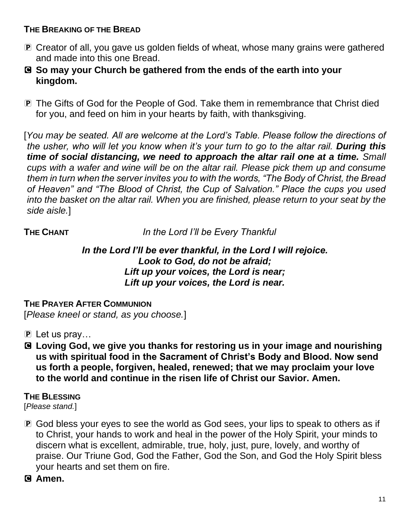### **THE BREAKING OF THE BREAD**

- P Creator of all, you gave us golden fields of wheat, whose many grains were gathered and made into this one Bread.
- C **So may your Church be gathered from the ends of the earth into your kingdom.**
- P The Gifts of God for the People of God. Take them in remembrance that Christ died for you, and feed on him in your hearts by faith, with thanksgiving.

[*You may be seated. All are welcome at the Lord's Table. Please follow the directions of the usher, who will let you know when it's your turn to go to the altar rail. During this time of social distancing, we need to approach the altar rail one at a time. Small cups with a wafer and wine will be on the altar rail. Please pick them up and consume them in turn when the server invites you to with the words, "The Body of Christ, the Bread of Heaven" and "The Blood of Christ, the Cup of Salvation." Place the cups you used into the basket on the altar rail. When you are finished, please return to your seat by the side aisle.*]

**THE CHANT** *In the Lord I'll be Every Thankful*

#### *In the Lord I'll be ever thankful, in the Lord I will rejoice. Look to God, do not be afraid; Lift up your voices, the Lord is near; Lift up your voices, the Lord is near.*

**THE PRAYER AFTER COMMUNION** [*Please kneel or stand, as you choose.*]

- P Let us pray…
- C **Loving God, we give you thanks for restoring us in your image and nourishing us with spiritual food in the Sacrament of Christ's Body and Blood. Now send us forth a people, forgiven, healed, renewed; that we may proclaim your love to the world and continue in the risen life of Christ our Savior. Amen.**

**THE BLESSING**  [*Please stand.*]

- P God bless your eyes to see the world as God sees, your lips to speak to others as if to Christ, your hands to work and heal in the power of the Holy Spirit, your minds to discern what is excellent, admirable, true, holy, just, pure, lovely, and worthy of praise. Our Triune God, God the Father, God the Son, and God the Holy Spirit bless your hearts and set them on fire.
- C **Amen.**